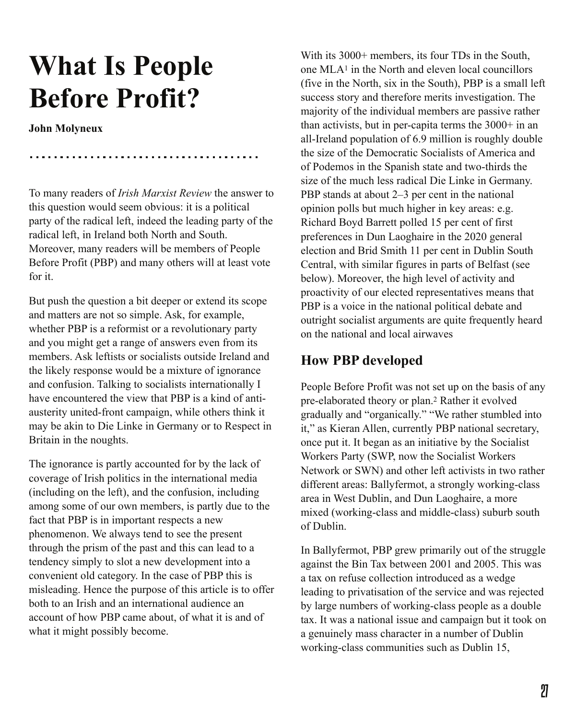# **What Is People Before Profit?**

**John Molyneux**

To many readers of *Irish Marxist Review* the answer to this question would seem obvious: it is a political party of the radical left, indeed the leading party of the radical left, in Ireland both North and South. Moreover, many readers will be members of People Before Profit (PBP) and many others will at least vote for it.

But push the question a bit deeper or extend its scope and matters are not so simple. Ask, for example, whether PBP is a reformist or a revolutionary party and you might get a range of answers even from its members. Ask leftists or socialists outside Ireland and the likely response would be a mixture of ignorance and confusion. Talking to socialists internationally I have encountered the view that PBP is a kind of antiausterity united-front campaign, while others think it may be akin to Die Linke in Germany or to Respect in Britain in the noughts.

The ignorance is partly accounted for by the lack of coverage of Irish politics in the international media (including on the left), and the confusion, including among some of our own members, is partly due to the fact that PBP is in important respects a new phenomenon. We always tend to see the present through the prism of the past and this can lead to a tendency simply to slot a new development into a convenient old category. In the case of PBP this is misleading. Hence the purpose of this article is to offer both to an Irish and an international audience an account of how PBP came about, of what it is and of what it might possibly become.

With its 3000+ members, its four TDs in the South, one  $MLA<sup>1</sup>$  in the North and eleven local councillors (five in the North, six in the South), PBP is a small left success story and therefore merits investigation. The majority of the individual members are passive rather than activists, but in per-capita terms the 3000+ in an all-Ireland population of 6.9 million is roughly double the size of the Democratic Socialists of America and of Podemos in the Spanish state and two-thirds the size of the much less radical Die Linke in Germany. PBP stands at about 2–3 per cent in the national opinion polls but much higher in key areas: e.g. Richard Boyd Barrett polled 15 per cent of first preferences in Dun Laoghaire in the 2020 general election and Brid Smith 11 per cent in Dublin South Central, with similar figures in parts of Belfast (see below). Moreover, the high level of activity and proactivity of our elected representatives means that PBP is a voice in the national political debate and outright socialist arguments are quite frequently heard on the national and local airwaves

## **How PBP developed**

People Before Profit was not set up on the basis of any pre-elaborated theory or plan.<sup>2</sup> Rather it evolved gradually and "organically." "We rather stumbled into it," as Kieran Allen, currently PBP national secretary, once put it. It began as an initiative by the Socialist Workers Party (SWP, now the Socialist Workers Network or SWN) and other left activists in two rather different areas: Ballyfermot, a strongly working-class area in West Dublin, and Dun Laoghaire, a more mixed (working-class and middle-class) suburb south of Dublin.

In Ballyfermot, PBP grew primarily out of the struggle against the Bin Tax between 2001 and 2005. This was a tax on refuse collection introduced as a wedge leading to privatisation of the service and was rejected by large numbers of working-class people as a double tax. It was a national issue and campaign but it took on a genuinely mass character in a number of Dublin working-class communities such as Dublin 15,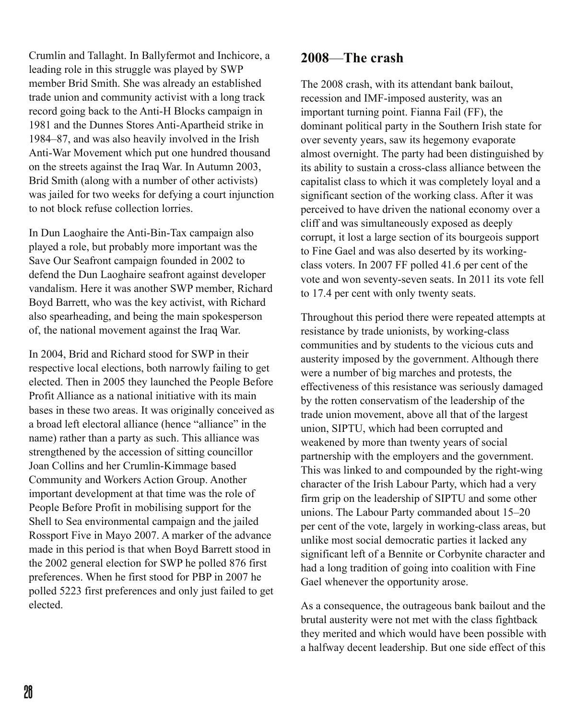Crumlin and Tallaght. In Ballyfermot and Inchicore, a leading role in this struggle was played by SWP member Brid Smith. She was already an established trade union and community activist with a long track record going back to the Anti-H Blocks campaign in 1981 and the Dunnes Stores Anti-Apartheid strike in 1984–87, and was also heavily involved in the Irish Anti-War Movement which put one hundred thousand on the streets against the Iraq War. In Autumn 2003, Brid Smith (along with a number of other activists) was jailed for two weeks for defying a court injunction to not block refuse collection lorries.

In Dun Laoghaire the Anti-Bin-Tax campaign also played a role, but probably more important was the Save Our Seafront campaign founded in 2002 to defend the Dun Laoghaire seafront against developer vandalism. Here it was another SWP member, Richard Boyd Barrett, who was the key activist, with Richard also spearheading, and being the main spokesperson of, the national movement against the Iraq War.

In 2004, Brid and Richard stood for SWP in their respective local elections, both narrowly failing to get elected. Then in 2005 they launched the People Before Profit Alliance as a national initiative with its main bases in these two areas. It was originally conceived as a broad left electoral alliance (hence "alliance" in the name) rather than a party as such. This alliance was strengthened by the accession of sitting councillor Joan Collins and her Crumlin-Kimmage based Community and Workers Action Group. Another important development at that time was the role of People Before Profit in mobilising support for the Shell to Sea environmental campaign and the jailed Rossport Five in Mayo 2007. A marker of the advance made in this period is that when Boyd Barrett stood in the 2002 general election for SWP he polled 876 first preferences. When he first stood for PBP in 2007 he polled 5223 first preferences and only just failed to get elected.

## **2008**—**The crash**

The 2008 crash, with its attendant bank bailout, recession and IMF-imposed austerity, was an important turning point. Fianna Fail (FF), the dominant political party in the Southern Irish state for over seventy years, saw its hegemony evaporate almost overnight. The party had been distinguished by its ability to sustain a cross-class alliance between the capitalist class to which it was completely loyal and a significant section of the working class. After it was perceived to have driven the national economy over a cliff and was simultaneously exposed as deeply corrupt, it lost a large section of its bourgeois support to Fine Gael and was also deserted by its workingclass voters. In 2007 FF polled 41.6 per cent of the vote and won seventy-seven seats. In 2011 its vote fell to 17.4 per cent with only twenty seats.

Throughout this period there were repeated attempts at resistance by trade unionists, by working-class communities and by students to the vicious cuts and austerity imposed by the government. Although there were a number of big marches and protests, the effectiveness of this resistance was seriously damaged by the rotten conservatism of the leadership of the trade union movement, above all that of the largest union, SIPTU, which had been corrupted and weakened by more than twenty years of social partnership with the employers and the government. This was linked to and compounded by the right-wing character of the Irish Labour Party, which had a very firm grip on the leadership of SIPTU and some other unions. The Labour Party commanded about 15–20 per cent of the vote, largely in working-class areas, but unlike most social democratic parties it lacked any significant left of a Bennite or Corbynite character and had a long tradition of going into coalition with Fine Gael whenever the opportunity arose.

As a consequence, the outrageous bank bailout and the brutal austerity were not met with the class fightback they merited and which would have been possible with a halfway decent leadership. But one side effect of this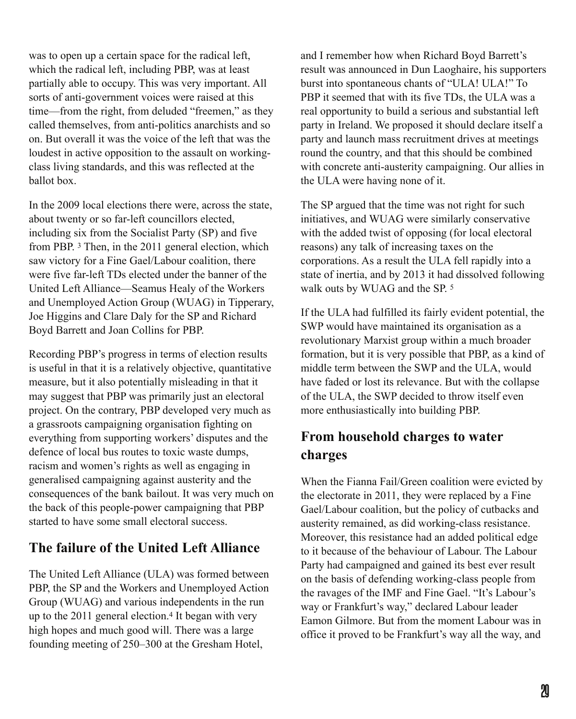was to open up a certain space for the radical left, which the radical left, including PBP, was at least partially able to occupy. This was very important. All sorts of anti-government voices were raised at this time—from the right, from deluded "freemen," as they called themselves, from anti-politics anarchists and so on. But overall it was the voice of the left that was the loudest in active opposition to the assault on workingclass living standards, and this was reflected at the ballot box.

In the 2009 local elections there were, across the state, about twenty or so far-left councillors elected, including six from the Socialist Party (SP) and five from PBP. 3 Then, in the 2011 general election, which saw victory for a Fine Gael/Labour coalition, there were five far-left TDs elected under the banner of the United Left Alliance—Seamus Healy of the Workers and Unemployed Action Group (WUAG) in Tipperary, Joe Higgins and Clare Daly for the SP and Richard Boyd Barrett and Joan Collins for PBP.

Recording PBP's progress in terms of election results is useful in that it is a relatively objective, quantitative measure, but it also potentially misleading in that it may suggest that PBP was primarily just an electoral project. On the contrary, PBP developed very much as a grassroots campaigning organisation fighting on everything from supporting workers' disputes and the defence of local bus routes to toxic waste dumps, racism and women's rights as well as engaging in generalised campaigning against austerity and the consequences of the bank bailout. It was very much on the back of this people-power campaigning that PBP started to have some small electoral success.

## **The failure of the United Left Alliance**

The United Left Alliance (ULA) was formed between PBP, the SP and the Workers and Unemployed Action Group (WUAG) and various independents in the run up to the  $2011$  general election.<sup>4</sup> It began with very high hopes and much good will. There was a large founding meeting of 250–300 at the Gresham Hotel,

and I remember how when Richard Boyd Barrett's result was announced in Dun Laoghaire, his supporters burst into spontaneous chants of "ULA! ULA!" To PBP it seemed that with its five TDs, the ULA was a real opportunity to build a serious and substantial left party in Ireland. We proposed it should declare itself a party and launch mass recruitment drives at meetings round the country, and that this should be combined with concrete anti-austerity campaigning. Our allies in the ULA were having none of it.

The SP argued that the time was not right for such initiatives, and WUAG were similarly conservative with the added twist of opposing (for local electoral reasons) any talk of increasing taxes on the corporations. As a result the ULA fell rapidly into a state of inertia, and by 2013 it had dissolved following walk outs by WUAG and the SP. 5

If the ULA had fulfilled its fairly evident potential, the SWP would have maintained its organisation as a revolutionary Marxist group within a much broader formation, but it is very possible that PBP, as a kind of middle term between the SWP and the ULA, would have faded or lost its relevance. But with the collapse of the ULA, the SWP decided to throw itself even more enthusiastically into building PBP.

## **From household charges to water charges**

When the Fianna Fail/Green coalition were evicted by the electorate in 2011, they were replaced by a Fine Gael/Labour coalition, but the policy of cutbacks and austerity remained, as did working-class resistance. Moreover, this resistance had an added political edge to it because of the behaviour of Labour. The Labour Party had campaigned and gained its best ever result on the basis of defending working-class people from the ravages of the IMF and Fine Gael. "It's Labour's way or Frankfurt's way," declared Labour leader Eamon Gilmore. But from the moment Labour was in office it proved to be Frankfurt's way all the way, and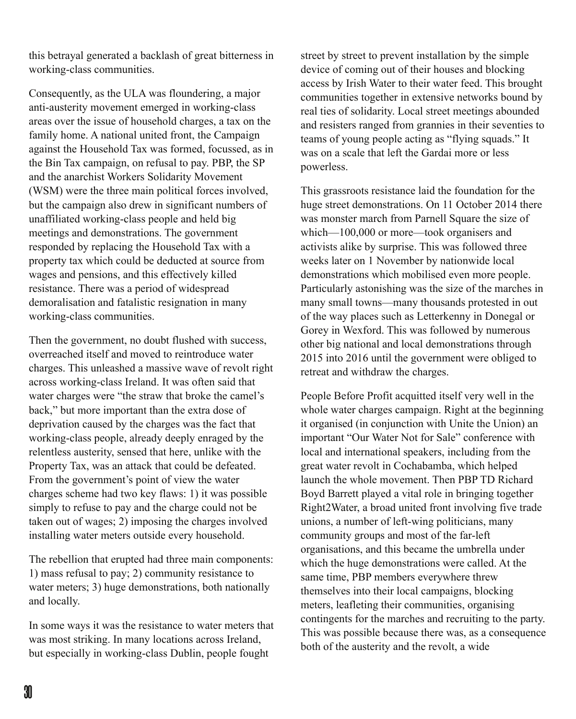this betrayal generated a backlash of great bitterness in working-class communities.

Consequently, as the ULA was floundering, a major anti-austerity movement emerged in working-class areas over the issue of household charges, a tax on the family home. A national united front, the Campaign against the Household Tax was formed, focussed, as in the Bin Tax campaign, on refusal to pay. PBP, the SP and the anarchist Workers Solidarity Movement (WSM) were the three main political forces involved, but the campaign also drew in significant numbers of unaffiliated working-class people and held big meetings and demonstrations. The government responded by replacing the Household Tax with a property tax which could be deducted at source from wages and pensions, and this effectively killed resistance. There was a period of widespread demoralisation and fatalistic resignation in many working-class communities.

Then the government, no doubt flushed with success, overreached itself and moved to reintroduce water charges. This unleashed a massive wave of revolt right across working-class Ireland. It was often said that water charges were "the straw that broke the camel's back," but more important than the extra dose of deprivation caused by the charges was the fact that working-class people, already deeply enraged by the relentless austerity, sensed that here, unlike with the Property Tax, was an attack that could be defeated. From the government's point of view the water charges scheme had two key flaws: 1) it was possible simply to refuse to pay and the charge could not be taken out of wages; 2) imposing the charges involved installing water meters outside every household.

The rebellion that erupted had three main components: 1) mass refusal to pay; 2) community resistance to water meters; 3) huge demonstrations, both nationally and locally.

In some ways it was the resistance to water meters that was most striking. In many locations across Ireland, but especially in working-class Dublin, people fought

street by street to prevent installation by the simple device of coming out of their houses and blocking access by Irish Water to their water feed. This brought communities together in extensive networks bound by real ties of solidarity. Local street meetings abounded and resisters ranged from grannies in their seventies to teams of young people acting as "flying squads." It was on a scale that left the Gardai more or less powerless.

This grassroots resistance laid the foundation for the huge street demonstrations. On 11 October 2014 there was monster march from Parnell Square the size of which—100,000 or more—took organisers and activists alike by surprise. This was followed three weeks later on 1 November by nationwide local demonstrations which mobilised even more people. Particularly astonishing was the size of the marches in many small towns—many thousands protested in out of the way places such as Letterkenny in Donegal or Gorey in Wexford. This was followed by numerous other big national and local demonstrations through 2015 into 2016 until the government were obliged to retreat and withdraw the charges.

People Before Profit acquitted itself very well in the whole water charges campaign. Right at the beginning it organised (in conjunction with Unite the Union) an important "Our Water Not for Sale" conference with local and international speakers, including from the great water revolt in Cochabamba, which helped launch the whole movement. Then PBP TD Richard Boyd Barrett played a vital role in bringing together Right2Water, a broad united front involving five trade unions, a number of left-wing politicians, many community groups and most of the far-left organisations, and this became the umbrella under which the huge demonstrations were called. At the same time, PBP members everywhere threw themselves into their local campaigns, blocking meters, leafleting their communities, organising contingents for the marches and recruiting to the party. This was possible because there was, as a consequence both of the austerity and the revolt, a wide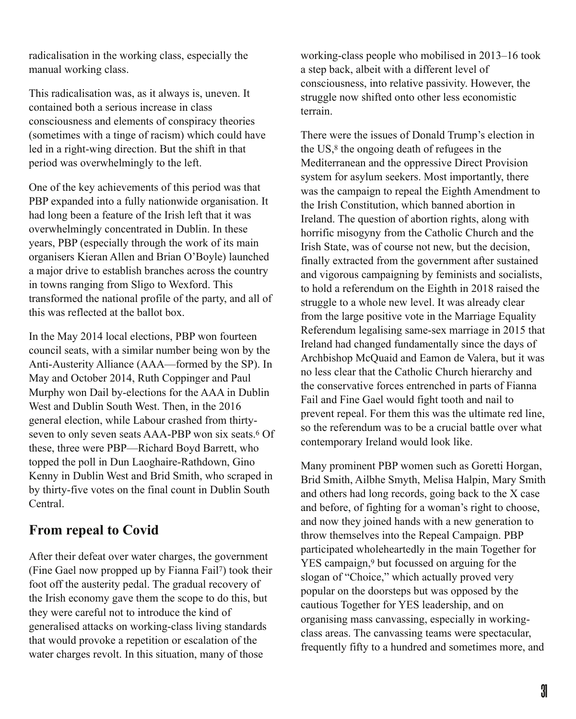radicalisation in the working class, especially the manual working class.

This radicalisation was, as it always is, uneven. It contained both a serious increase in class consciousness and elements of conspiracy theories (sometimes with a tinge of racism) which could have led in a right-wing direction. But the shift in that period was overwhelmingly to the left.

One of the key achievements of this period was that PBP expanded into a fully nationwide organisation. It had long been a feature of the Irish left that it was overwhelmingly concentrated in Dublin. In these years, PBP (especially through the work of its main organisers Kieran Allen and Brian O'Boyle) launched a major drive to establish branches across the country in towns ranging from Sligo to Wexford. This transformed the national profile of the party, and all of this was reflected at the ballot box.

In the May 2014 local elections, PBP won fourteen council seats, with a similar number being won by the Anti-Austerity Alliance (AAA—formed by the SP). In May and October 2014, Ruth Coppinger and Paul Murphy won Dail by-elections for the AAA in Dublin West and Dublin South West. Then, in the 2016 general election, while Labour crashed from thirtyseven to only seven seats AAA-PBP won six seats.<sup>6</sup> Of these, three were PBP—Richard Boyd Barrett, who topped the poll in Dun Laoghaire-Rathdown, Gino Kenny in Dublin West and Brid Smith, who scraped in by thirty-five votes on the final count in Dublin South **Central** 

## **From repeal to Covid**

After their defeat over water charges, the government (Fine Gael now propped up by Fianna Fail<sup>7</sup>) took their foot off the austerity pedal. The gradual recovery of the Irish economy gave them the scope to do this, but they were careful not to introduce the kind of generalised attacks on working-class living standards that would provoke a repetition or escalation of the water charges revolt. In this situation, many of those

working-class people who mobilised in 2013–16 took a step back, albeit with a different level of consciousness, into relative passivity. However, the struggle now shifted onto other less economistic terrain.

There were the issues of Donald Trump's election in the  $US<sub>1</sub><sup>8</sup>$  the ongoing death of refugees in the Mediterranean and the oppressive Direct Provision system for asylum seekers. Most importantly, there was the campaign to repeal the Eighth Amendment to the Irish Constitution, which banned abortion in Ireland. The question of abortion rights, along with horrific misogyny from the Catholic Church and the Irish State, was of course not new, but the decision, finally extracted from the government after sustained and vigorous campaigning by feminists and socialists, to hold a referendum on the Eighth in 2018 raised the struggle to a whole new level. It was already clear from the large positive vote in the Marriage Equality Referendum legalising same-sex marriage in 2015 that Ireland had changed fundamentally since the days of Archbishop McQuaid and Eamon de Valera, but it was no less clear that the Catholic Church hierarchy and the conservative forces entrenched in parts of Fianna Fail and Fine Gael would fight tooth and nail to prevent repeal. For them this was the ultimate red line, so the referendum was to be a crucial battle over what contemporary Ireland would look like.

Many prominent PBP women such as Goretti Horgan, Brid Smith, Ailbhe Smyth, Melisa Halpin, Mary Smith and others had long records, going back to the X case and before, of fighting for a woman's right to choose, and now they joined hands with a new generation to throw themselves into the Repeal Campaign. PBP participated wholeheartedly in the main Together for YES campaign,<sup>9</sup> but focussed on arguing for the slogan of "Choice," which actually proved very popular on the doorsteps but was opposed by the cautious Together for YES leadership, and on organising mass canvassing, especially in workingclass areas. The canvassing teams were spectacular, frequently fifty to a hundred and sometimes more, and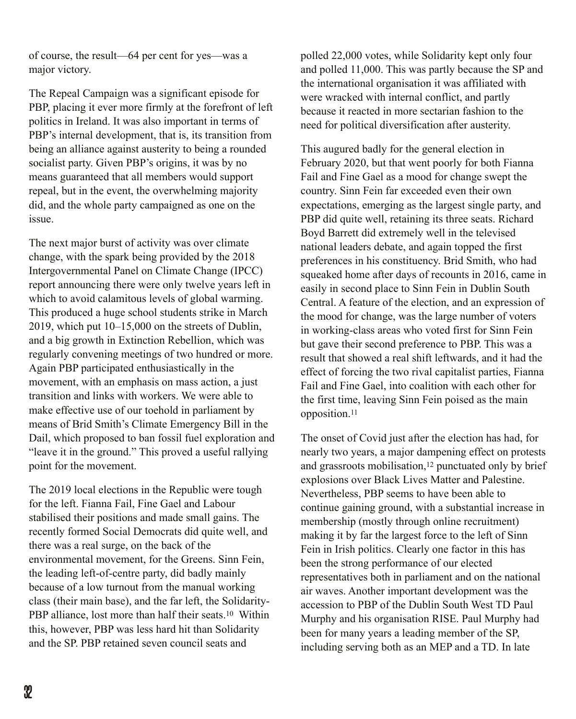of course, the result—64 per cent for yes—was a major victory.

The Repeal Campaign was a significant episode for PBP, placing it ever more firmly at the forefront of left politics in Ireland. It was also important in terms of PBP's internal development, that is, its transition from being an alliance against austerity to being a rounded socialist party. Given PBP's origins, it was by no means guaranteed that all members would support repeal, but in the event, the overwhelming majority did, and the whole party campaigned as one on the issue.

The next major burst of activity was over climate change, with the spark being provided by the 2018 Intergovernmental Panel on Climate Change (IPCC) report announcing there were only twelve years left in which to avoid calamitous levels of global warming. This produced a huge school students strike in March 2019, which put 10–15,000 on the streets of Dublin, and a big growth in Extinction Rebellion, which was regularly convening meetings of two hundred or more. Again PBP participated enthusiastically in the movement, with an emphasis on mass action, a just transition and links with workers. We were able to make effective use of our toehold in parliament by means of Brid Smith's Climate Emergency Bill in the Dail, which proposed to ban fossil fuel exploration and "leave it in the ground." This proved a useful rallying point for the movement.

The 2019 local elections in the Republic were tough for the left. Fianna Fail, Fine Gael and Labour stabilised their positions and made small gains. The recently formed Social Democrats did quite well, and there was a real surge, on the back of the environmental movement, for the Greens. Sinn Fein, the leading left-of-centre party, did badly mainly because of a low turnout from the manual working class (their main base), and the far left, the Solidarity-PBP alliance, lost more than half their seats.<sup>10</sup> Within this, however, PBP was less hard hit than Solidarity and the SP. PBP retained seven council seats and

polled 22,000 votes, while Solidarity kept only four and polled 11,000. This was partly because the SP and the international organisation it was affiliated with were wracked with internal conflict, and partly because it reacted in more sectarian fashion to the need for political diversification after austerity.

This augured badly for the general election in February 2020, but that went poorly for both Fianna Fail and Fine Gael as a mood for change swept the country. Sinn Fein far exceeded even their own expectations, emerging as the largest single party, and PBP did quite well, retaining its three seats. Richard Boyd Barrett did extremely well in the televised national leaders debate, and again topped the first preferences in his constituency. Brid Smith, who had squeaked home after days of recounts in 2016, came in easily in second place to Sinn Fein in Dublin South Central. A feature of the election, and an expression of the mood for change, was the large number of voters in working-class areas who voted first for Sinn Fein but gave their second preference to PBP. This was a result that showed a real shift leftwards, and it had the effect of forcing the two rival capitalist parties, Fianna Fail and Fine Gael, into coalition with each other for the first time, leaving Sinn Fein poised as the main opposition.11

The onset of Covid just after the election has had, for nearly two years, a major dampening effect on protests and grassroots mobilisation, $12$  punctuated only by brief explosions over Black Lives Matter and Palestine. Nevertheless, PBP seems to have been able to continue gaining ground, with a substantial increase in membership (mostly through online recruitment) making it by far the largest force to the left of Sinn Fein in Irish politics. Clearly one factor in this has been the strong performance of our elected representatives both in parliament and on the national air waves. Another important development was the accession to PBP of the Dublin South West TD Paul Murphy and his organisation RISE. Paul Murphy had been for many years a leading member of the SP, including serving both as an MEP and a TD. In late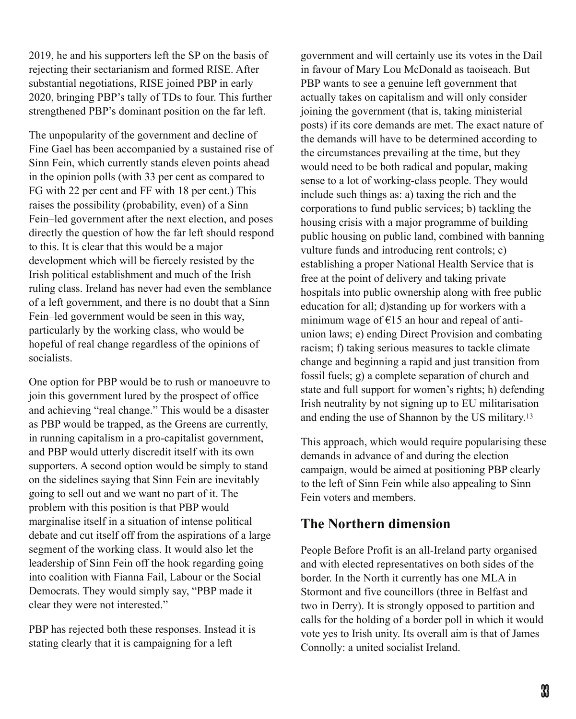2019, he and his supporters left the SP on the basis of rejecting their sectarianism and formed RISE. After substantial negotiations, RISE joined PBP in early 2020, bringing PBP's tally of TDs to four. This further strengthened PBP's dominant position on the far left.

The unpopularity of the government and decline of Fine Gael has been accompanied by a sustained rise of Sinn Fein, which currently stands eleven points ahead in the opinion polls (with 33 per cent as compared to FG with 22 per cent and FF with 18 per cent.) This raises the possibility (probability, even) of a Sinn Fein–led government after the next election, and poses directly the question of how the far left should respond to this. It is clear that this would be a major development which will be fiercely resisted by the Irish political establishment and much of the Irish ruling class. Ireland has never had even the semblance of a left government, and there is no doubt that a Sinn Fein–led government would be seen in this way, particularly by the working class, who would be hopeful of real change regardless of the opinions of socialists.

One option for PBP would be to rush or manoeuvre to join this government lured by the prospect of office and achieving "real change." This would be a disaster as PBP would be trapped, as the Greens are currently, in running capitalism in a pro-capitalist government, and PBP would utterly discredit itself with its own supporters. A second option would be simply to stand on the sidelines saying that Sinn Fein are inevitably going to sell out and we want no part of it. The problem with this position is that PBP would marginalise itself in a situation of intense political debate and cut itself off from the aspirations of a large segment of the working class. It would also let the leadership of Sinn Fein off the hook regarding going into coalition with Fianna Fail, Labour or the Social Democrats. They would simply say, "PBP made it clear they were not interested."

PBP has rejected both these responses. Instead it is stating clearly that it is campaigning for a left

government and will certainly use its votes in the Dail in favour of Mary Lou McDonald as taoiseach. But PBP wants to see a genuine left government that actually takes on capitalism and will only consider joining the government (that is, taking ministerial posts) if its core demands are met. The exact nature of the demands will have to be determined according to the circumstances prevailing at the time, but they would need to be both radical and popular, making sense to a lot of working-class people. They would include such things as: a) taxing the rich and the corporations to fund public services; b) tackling the housing crisis with a major programme of building public housing on public land, combined with banning vulture funds and introducing rent controls; c) establishing a proper National Health Service that is free at the point of delivery and taking private hospitals into public ownership along with free public education for all; d)standing up for workers with a minimum wage of  $E$ 15 an hour and repeal of antiunion laws; e) ending Direct Provision and combating racism; f) taking serious measures to tackle climate change and beginning a rapid and just transition from fossil fuels; g) a complete separation of church and state and full support for women's rights; h) defending Irish neutrality by not signing up to EU militarisation and ending the use of Shannon by the US military.13

This approach, which would require popularising these demands in advance of and during the election campaign, would be aimed at positioning PBP clearly to the left of Sinn Fein while also appealing to Sinn Fein voters and members.

## **The Northern dimension**

People Before Profit is an all-Ireland party organised and with elected representatives on both sides of the border. In the North it currently has one MLA in Stormont and five councillors (three in Belfast and two in Derry). It is strongly opposed to partition and calls for the holding of a border poll in which it would vote yes to Irish unity. Its overall aim is that of James Connolly: a united socialist Ireland.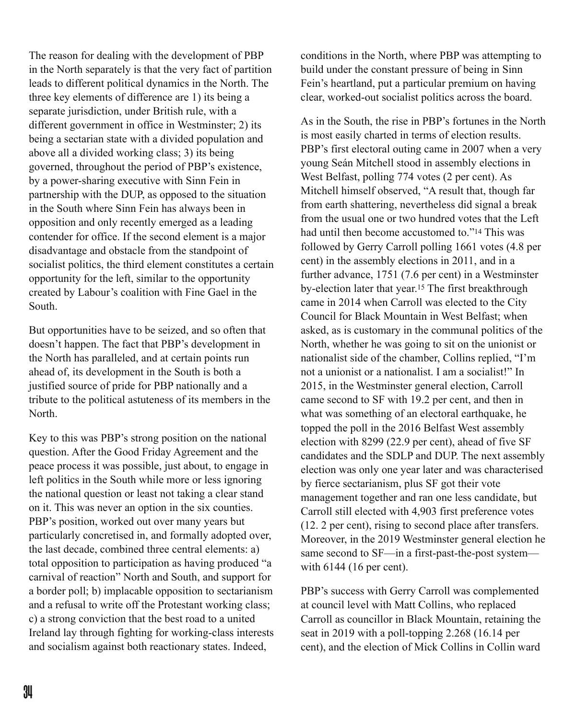The reason for dealing with the development of PBP in the North separately is that the very fact of partition leads to different political dynamics in the North. The three key elements of difference are 1) its being a separate jurisdiction, under British rule, with a different government in office in Westminster; 2) its being a sectarian state with a divided population and above all a divided working class; 3) its being governed, throughout the period of PBP's existence, by a power-sharing executive with Sinn Fein in partnership with the DUP, as opposed to the situation in the South where Sinn Fein has always been in opposition and only recently emerged as a leading contender for office. If the second element is a major disadvantage and obstacle from the standpoint of socialist politics, the third element constitutes a certain opportunity for the left, similar to the opportunity created by Labour's coalition with Fine Gael in the South.

But opportunities have to be seized, and so often that doesn't happen. The fact that PBP's development in the North has paralleled, and at certain points run ahead of, its development in the South is both a justified source of pride for PBP nationally and a tribute to the political astuteness of its members in the North.

Key to this was PBP's strong position on the national question. After the Good Friday Agreement and the peace process it was possible, just about, to engage in left politics in the South while more or less ignoring the national question or least not taking a clear stand on it. This was never an option in the six counties. PBP's position, worked out over many years but particularly concretised in, and formally adopted over, the last decade, combined three central elements: a) total opposition to participation as having produced "a carnival of reaction" North and South, and support for a border poll; b) implacable opposition to sectarianism and a refusal to write off the Protestant working class; c) a strong conviction that the best road to a united Ireland lay through fighting for working-class interests and socialism against both reactionary states. Indeed,

conditions in the North, where PBP was attempting to build under the constant pressure of being in Sinn Fein's heartland, put a particular premium on having clear, worked-out socialist politics across the board.

As in the South, the rise in PBP's fortunes in the North is most easily charted in terms of election results. PBP's first electoral outing came in 2007 when a very young Seán Mitchell stood in assembly elections in West Belfast, polling 774 votes (2 per cent). As Mitchell himself observed, "A result that, though far from earth shattering, nevertheless did signal a break from the usual one or two hundred votes that the Left had until then become accustomed to."<sup>14</sup> This was followed by Gerry Carroll polling 1661 votes (4.8 per cent) in the assembly elections in 2011, and in a further advance, 1751 (7.6 per cent) in a Westminster by-election later that year.<sup>15</sup> The first breakthrough came in 2014 when Carroll was elected to the City Council for Black Mountain in West Belfast; when asked, as is customary in the communal politics of the North, whether he was going to sit on the unionist or nationalist side of the chamber, Collins replied, "I'm not a unionist or a nationalist. I am a socialist!" In 2015, in the Westminster general election, Carroll came second to SF with 19.2 per cent, and then in what was something of an electoral earthquake, he topped the poll in the 2016 Belfast West assembly election with 8299 (22.9 per cent), ahead of five SF candidates and the SDLP and DUP. The next assembly election was only one year later and was characterised by fierce sectarianism, plus SF got their vote management together and ran one less candidate, but Carroll still elected with 4,903 first preference votes (12. 2 per cent), rising to second place after transfers. Moreover, in the 2019 Westminster general election he same second to SF—in a first-past-the-post system with 6144 (16 per cent).

PBP's success with Gerry Carroll was complemented at council level with Matt Collins, who replaced Carroll as councillor in Black Mountain, retaining the seat in 2019 with a poll-topping 2.268 (16.14 per cent), and the election of Mick Collins in Collin ward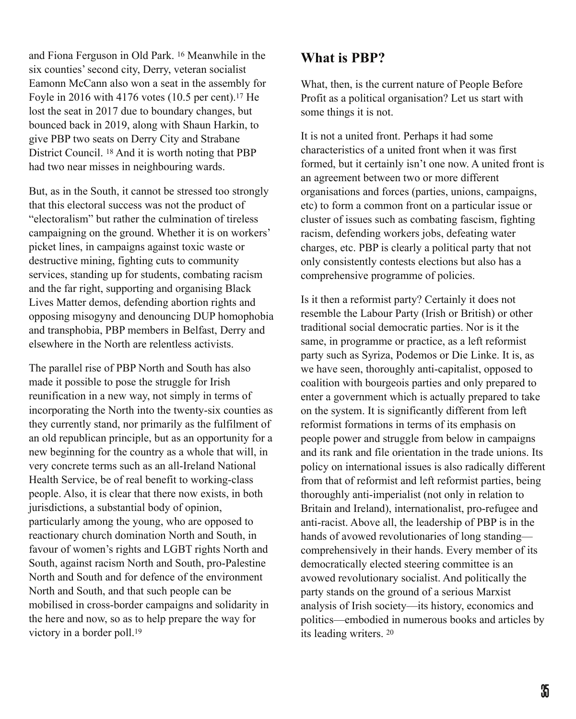and Fiona Ferguson in Old Park. <sup>16</sup> Meanwhile in the six counties' second city, Derry, veteran socialist Eamonn McCann also won a seat in the assembly for Foyle in 2016 with 4176 votes  $(10.5$  per cent).<sup>17</sup> He lost the seat in 2017 due to boundary changes, but bounced back in 2019, along with Shaun Harkin, to give PBP two seats on Derry City and Strabane District Council. <sup>18</sup> And it is worth noting that PBP had two near misses in neighbouring wards.

But, as in the South, it cannot be stressed too strongly that this electoral success was not the product of "electoralism" but rather the culmination of tireless campaigning on the ground. Whether it is on workers' picket lines, in campaigns against toxic waste or destructive mining, fighting cuts to community services, standing up for students, combating racism and the far right, supporting and organising Black Lives Matter demos, defending abortion rights and opposing misogyny and denouncing DUP homophobia and transphobia, PBP members in Belfast, Derry and elsewhere in the North are relentless activists.

The parallel rise of PBP North and South has also made it possible to pose the struggle for Irish reunification in a new way, not simply in terms of incorporating the North into the twenty-six counties as they currently stand, nor primarily as the fulfilment of an old republican principle, but as an opportunity for a new beginning for the country as a whole that will, in very concrete terms such as an all-Ireland National Health Service, be of real benefit to working-class people. Also, it is clear that there now exists, in both jurisdictions, a substantial body of opinion, particularly among the young, who are opposed to reactionary church domination North and South, in favour of women's rights and LGBT rights North and South, against racism North and South, pro-Palestine North and South and for defence of the environment North and South, and that such people can be mobilised in cross-border campaigns and solidarity in the here and now, so as to help prepare the way for victory in a border poll.19

## **What is PBP?**

What, then, is the current nature of People Before Profit as a political organisation? Let us start with some things it is not.

It is not a united front. Perhaps it had some characteristics of a united front when it was first formed, but it certainly isn't one now. A united front is an agreement between two or more different organisations and forces (parties, unions, campaigns, etc) to form a common front on a particular issue or cluster of issues such as combating fascism, fighting racism, defending workers jobs, defeating water charges, etc. PBP is clearly a political party that not only consistently contests elections but also has a comprehensive programme of policies.

Is it then a reformist party? Certainly it does not resemble the Labour Party (Irish or British) or other traditional social democratic parties. Nor is it the same, in programme or practice, as a left reformist party such as Syriza, Podemos or Die Linke. It is, as we have seen, thoroughly anti-capitalist, opposed to coalition with bourgeois parties and only prepared to enter a government which is actually prepared to take on the system. It is significantly different from left reformist formations in terms of its emphasis on people power and struggle from below in campaigns and its rank and file orientation in the trade unions. Its policy on international issues is also radically different from that of reformist and left reformist parties, being thoroughly anti-imperialist (not only in relation to Britain and Ireland), internationalist, pro-refugee and anti-racist. Above all, the leadership of PBP is in the hands of avowed revolutionaries of long standing comprehensively in their hands. Every member of its democratically elected steering committee is an avowed revolutionary socialist. And politically the party stands on the ground of a serious Marxist analysis of Irish society—its history, economics and politics—embodied in numerous books and articles by its leading writers. 20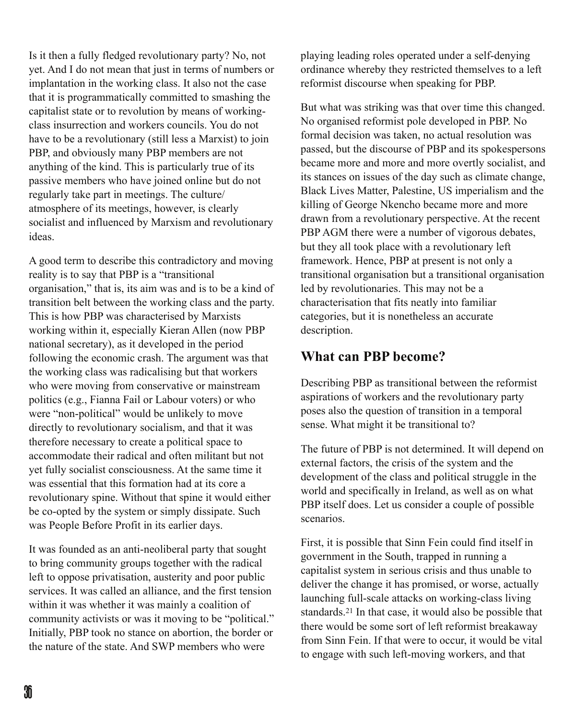Is it then a fully fledged revolutionary party? No, not yet. And I do not mean that just in terms of numbers or implantation in the working class. It also not the case that it is programmatically committed to smashing the capitalist state or to revolution by means of workingclass insurrection and workers councils. You do not have to be a revolutionary (still less a Marxist) to join PBP, and obviously many PBP members are not anything of the kind. This is particularly true of its passive members who have joined online but do not regularly take part in meetings. The culture/ atmosphere of its meetings, however, is clearly socialist and influenced by Marxism and revolutionary ideas.

A good term to describe this contradictory and moving reality is to say that PBP is a "transitional organisation," that is, its aim was and is to be a kind of transition belt between the working class and the party. This is how PBP was characterised by Marxists working within it, especially Kieran Allen (now PBP national secretary), as it developed in the period following the economic crash. The argument was that the working class was radicalising but that workers who were moving from conservative or mainstream politics (e.g., Fianna Fail or Labour voters) or who were "non-political" would be unlikely to move directly to revolutionary socialism, and that it was therefore necessary to create a political space to accommodate their radical and often militant but not yet fully socialist consciousness. At the same time it was essential that this formation had at its core a revolutionary spine. Without that spine it would either be co-opted by the system or simply dissipate. Such was People Before Profit in its earlier days.

It was founded as an anti-neoliberal party that sought to bring community groups together with the radical left to oppose privatisation, austerity and poor public services. It was called an alliance, and the first tension within it was whether it was mainly a coalition of community activists or was it moving to be "political." Initially, PBP took no stance on abortion, the border or the nature of the state. And SWP members who were

playing leading roles operated under a self-denying ordinance whereby they restricted themselves to a left reformist discourse when speaking for PBP.

But what was striking was that over time this changed. No organised reformist pole developed in PBP. No formal decision was taken, no actual resolution was passed, but the discourse of PBP and its spokespersons became more and more and more overtly socialist, and its stances on issues of the day such as climate change, Black Lives Matter, Palestine, US imperialism and the killing of George Nkencho became more and more drawn from a revolutionary perspective. At the recent PBP AGM there were a number of vigorous debates, but they all took place with a revolutionary left framework. Hence, PBP at present is not only a transitional organisation but a transitional organisation led by revolutionaries. This may not be a characterisation that fits neatly into familiar categories, but it is nonetheless an accurate description.

## **What can PBP become?**

Describing PBP as transitional between the reformist aspirations of workers and the revolutionary party poses also the question of transition in a temporal sense. What might it be transitional to?

The future of PBP is not determined. It will depend on external factors, the crisis of the system and the development of the class and political struggle in the world and specifically in Ireland, as well as on what PBP itself does. Let us consider a couple of possible scenarios.

First, it is possible that Sinn Fein could find itself in government in the South, trapped in running a capitalist system in serious crisis and thus unable to deliver the change it has promised, or worse, actually launching full-scale attacks on working-class living standards.<sup>21</sup> In that case, it would also be possible that there would be some sort of left reformist breakaway from Sinn Fein. If that were to occur, it would be vital to engage with such left-moving workers, and that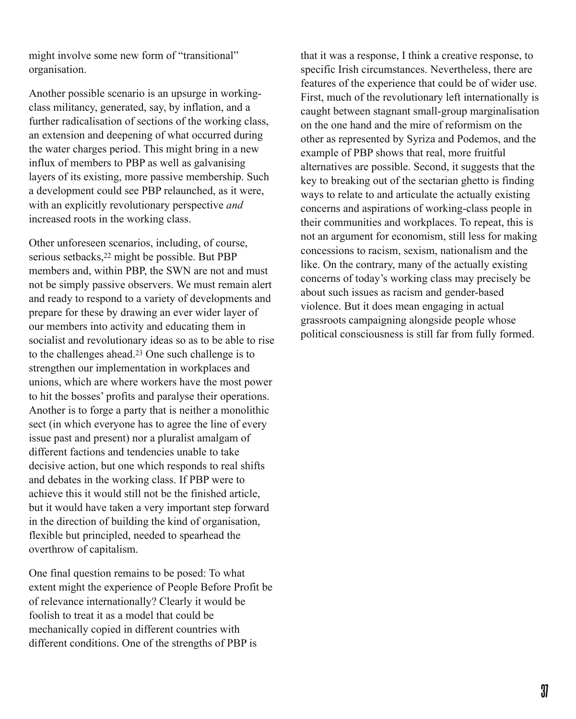might involve some new form of "transitional" organisation.

Another possible scenario is an upsurge in workingclass militancy, generated, say, by inflation, and a further radicalisation of sections of the working class, an extension and deepening of what occurred during the water charges period. This might bring in a new influx of members to PBP as well as galvanising layers of its existing, more passive membership. Such a development could see PBP relaunched, as it were, with an explicitly revolutionary perspective *and* increased roots in the working class.

Other unforeseen scenarios, including, of course, serious setbacks, <sup>22</sup> might be possible. But PBP members and, within PBP, the SWN are not and must not be simply passive observers. We must remain alert and ready to respond to a variety of developments and prepare for these by drawing an ever wider layer of our members into activity and educating them in socialist and revolutionary ideas so as to be able to rise to the challenges ahead. $23$  One such challenge is to strengthen our implementation in workplaces and unions, which are where workers have the most power to hit the bosses' profits and paralyse their operations. Another is to forge a party that is neither a monolithic sect (in which everyone has to agree the line of every issue past and present) nor a pluralist amalgam of different factions and tendencies unable to take decisive action, but one which responds to real shifts and debates in the working class. If PBP were to achieve this it would still not be the finished article, but it would have taken a very important step forward in the direction of building the kind of organisation, flexible but principled, needed to spearhead the overthrow of capitalism.

One final question remains to be posed: To what extent might the experience of People Before Profit be of relevance internationally? Clearly it would be foolish to treat it as a model that could be mechanically copied in different countries with different conditions. One of the strengths of PBP is

that it was a response, I think a creative response, to specific Irish circumstances. Nevertheless, there are features of the experience that could be of wider use. First, much of the revolutionary left internationally is caught between stagnant small-group marginalisation on the one hand and the mire of reformism on the other as represented by Syriza and Podemos, and the example of PBP shows that real, more fruitful alternatives are possible. Second, it suggests that the key to breaking out of the sectarian ghetto is finding ways to relate to and articulate the actually existing concerns and aspirations of working-class people in their communities and workplaces. To repeat, this is not an argument for economism, still less for making concessions to racism, sexism, nationalism and the like. On the contrary, many of the actually existing concerns of today's working class may precisely be about such issues as racism and gender-based violence. But it does mean engaging in actual grassroots campaigning alongside people whose political consciousness is still far from fully formed.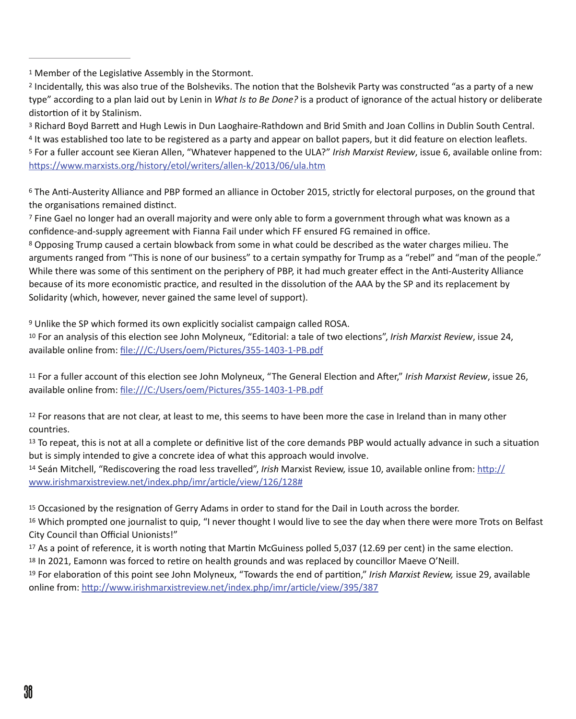<sup>1</sup> Member of the Legislative Assembly in the Stormont.

<sup>2</sup> Incidentally, this was also true of the Bolsheviks. The notion that the Bolshevik Party was constructed "as a party of a new type" according to a plan laid out by Lenin in *What Is to Be Done?* is a product of ignorance of the actual history or deliberate distortion of it by Stalinism.

<sup>3</sup> Richard Boyd Barrett and Hugh Lewis in Dun Laoghaire-Rathdown and Brid Smith and Joan Collins in Dublin South Central.

<sup>4</sup> It was established too late to be registered as a party and appear on ballot papers, but it did feature on election leaflets. 5 For a fuller account see Kieran Allen, "Whatever happened to the ULA?" Irish Marxist Review, issue 6, available online from: https://www.marxists.org/history/etol/writers/allen-k/2013/06/ula.htm

<sup>6</sup> The Anti-Austerity Alliance and PBP formed an alliance in October 2015, strictly for electoral purposes, on the ground that the organisations remained distinct.

<sup>7</sup> Fine Gael no longer had an overall majority and were only able to form a government through what was known as a confidence-and-supply agreement with Fianna Fail under which FF ensured FG remained in office.

<sup>8</sup> Opposing Trump caused a certain blowback from some in what could be described as the water charges milieu. The arguments ranged from "This is none of our business" to a certain sympathy for Trump as a "rebel" and "man of the people." While there was some of this sentiment on the periphery of PBP, it had much greater effect in the Anti-Austerity Alliance because of its more economistic practice, and resulted in the dissolution of the AAA by the SP and its replacement by Solidarity (which, however, never gained the same level of support).

 $9$  Unlike the SP which formed its own explicitly socialist campaign called ROSA.

<sup>10</sup> For an analysis of this election see John Molyneux, "Editorial: a tale of two elections", *Irish Marxist Review*, issue 24, available online from: file:///C:/Users/oem/Pictures/355-1403-1-PB.pdf

<sup>11</sup> For a fuller account of this election see John Molyneux, "The General Election and After," Irish Marxist Review, issue 26, available online from: file:///C:/Users/oem/Pictures/355-1403-1-PB.pdf

 $12$  For reasons that are not clear, at least to me, this seems to have been more the case in Ireland than in many other countries. 

 $13$  To repeat, this is not at all a complete or definitive list of the core demands PBP would actually advance in such a situation but is simply intended to give a concrete idea of what this approach would involve.

<sup>14</sup> Seán Mitchell, "Rediscovering the road less travelled", *Irish* Marxist Review, issue 10, available online from: http:// www.irishmarxistreview.net/index.php/imr/article/view/126/128#

<sup>15</sup> Occasioned by the resignation of Gerry Adams in order to stand for the Dail in Louth across the border.

 $16$  Which prompted one journalist to quip, "I never thought I would live to see the day when there were more Trots on Belfast City Council than Official Unionists!"

 $17$  As a point of reference, it is worth noting that Martin McGuiness polled 5,037 (12.69 per cent) in the same election.

 $18$  In 2021, Eamonn was forced to retire on health grounds and was replaced by councillor Maeve O'Neill.

<sup>19</sup> For elaboration of this point see John Molyneux, "Towards the end of partition," Irish Marxist Review, issue 29, available online from: http://www.irishmarxistreview.net/index.php/imr/article/view/395/387